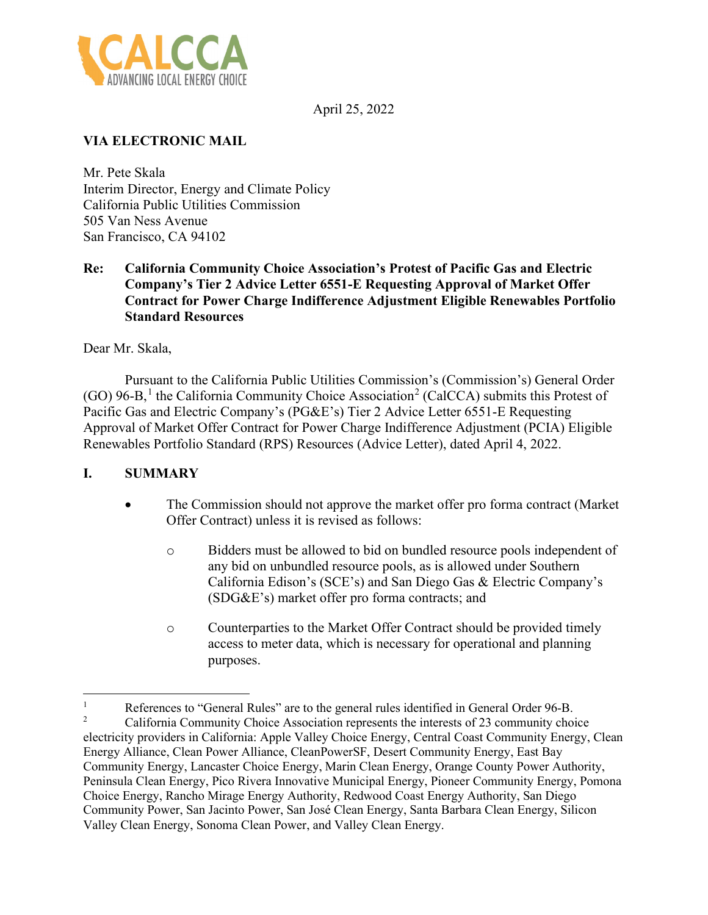

April 25, 2022

# **VIA ELECTRONIC MAIL**

Mr. Pete Skala Interim Director, Energy and Climate Policy California Public Utilities Commission 505 Van Ness Avenue San Francisco, CA 94102

#### **Re: California Community Choice Association's Protest of Pacific Gas and Electric Company's Tier 2 Advice Letter 6551-E Requesting Approval of Market Offer Contract for Power Charge Indifference Adjustment Eligible Renewables Portfolio Standard Resources**

Dear Mr. Skala,

Pursuant to the California Public Utilities Commission's (Commission's) General Order  $(GO)$  96-B,<sup>[1](#page-0-0)</sup> the California Community Choice Association<sup>[2](#page-0-1)</sup> (CalCCA) submits this Protest of Pacific Gas and Electric Company's (PG&E's) Tier 2 Advice Letter 6551-E Requesting Approval of Market Offer Contract for Power Charge Indifference Adjustment (PCIA) Eligible Renewables Portfolio Standard (RPS) Resources (Advice Letter), dated April 4, 2022.

### **I. SUMMARY**

- The Commission should not approve the market offer pro forma contract (Market Offer Contract) unless it is revised as follows:
	- o Bidders must be allowed to bid on bundled resource pools independent of any bid on unbundled resource pools, as is allowed under Southern California Edison's (SCE's) and San Diego Gas & Electric Company's (SDG&E's) market offer pro forma contracts; and
	- o Counterparties to the Market Offer Contract should be provided timely access to meter data, which is necessary for operational and planning purposes.

<span id="page-0-1"></span><span id="page-0-0"></span><sup>&</sup>lt;sup>1</sup><br>References to "General Rules" are to the general rules identified in General Order 96-B.<br>Colifornia Community Choice Association represents the interests of 23 community choi 2 California Community Choice Association represents the interests of 23 community choice electricity providers in California: Apple Valley Choice Energy, Central Coast Community Energy, Clean Energy Alliance, Clean Power Alliance, CleanPowerSF, Desert Community Energy, East Bay Community Energy, Lancaster Choice Energy, Marin Clean Energy, Orange County Power Authority, Peninsula Clean Energy, Pico Rivera Innovative Municipal Energy, Pioneer Community Energy, Pomona Choice Energy, Rancho Mirage Energy Authority, Redwood Coast Energy Authority, San Diego Community Power, San Jacinto Power, San José Clean Energy, Santa Barbara Clean Energy, Silicon Valley Clean Energy, Sonoma Clean Power, and Valley Clean Energy.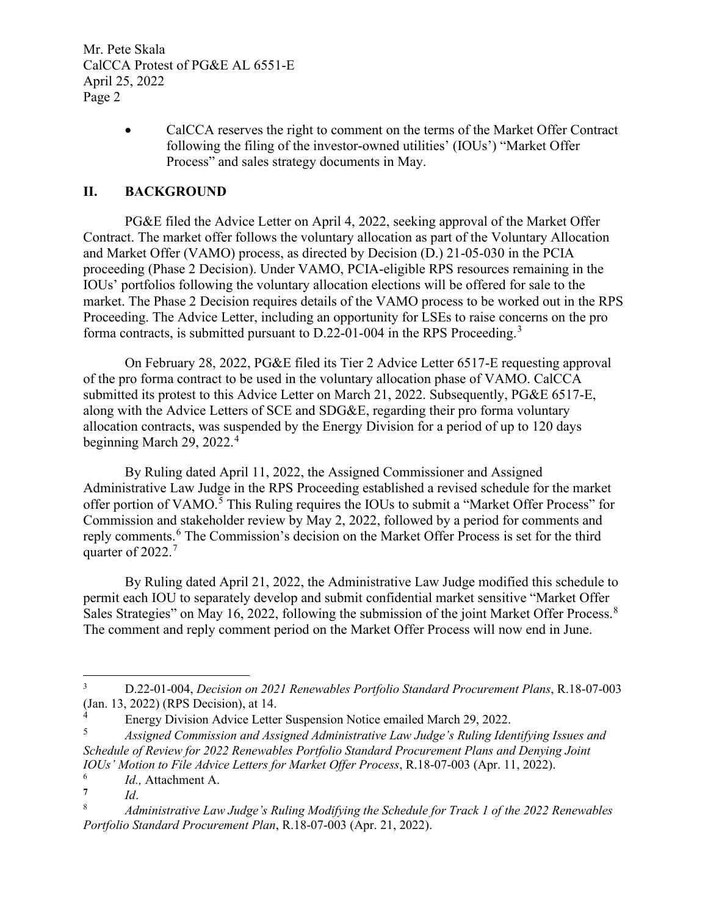Mr. Pete Skala CalCCA Protest of PG&E AL 6551-E April 25, 2022 Page 2

> • CalCCA reserves the right to comment on the terms of the Market Offer Contract following the filing of the investor-owned utilities' (IOUs') "Market Offer Process" and sales strategy documents in May.

## **II. BACKGROUND**

PG&E filed the Advice Letter on April 4, 2022, seeking approval of the Market Offer Contract. The market offer follows the voluntary allocation as part of the Voluntary Allocation and Market Offer (VAMO) process, as directed by Decision (D.) 21-05-030 in the PCIA proceeding (Phase 2 Decision). Under VAMO, PCIA-eligible RPS resources remaining in the IOUs' portfolios following the voluntary allocation elections will be offered for sale to the market. The Phase 2 Decision requires details of the VAMO process to be worked out in the RPS Proceeding. The Advice Letter, including an opportunity for LSEs to raise concerns on the pro forma contracts, is submitted pursuant to D.22-01-004 in the RPS Proceeding.[3](#page-1-0)

On February 28, 2022, PG&E filed its Tier 2 Advice Letter 6517-E requesting approval of the pro forma contract to be used in the voluntary allocation phase of VAMO. CalCCA submitted its protest to this Advice Letter on March 21, 2022. Subsequently, PG&E 6517-E, along with the Advice Letters of SCE and SDG&E, regarding their pro forma voluntary allocation contracts, was suspended by the Energy Division for a period of up to 120 days beginning March 29,  $2022.^4$  $2022.^4$ 

By Ruling dated April 11, 2022, the Assigned Commissioner and Assigned Administrative Law Judge in the RPS Proceeding established a revised schedule for the market offer portion of VAMO.<sup>[5](#page-1-2)</sup> This Ruling requires the IOUs to submit a "Market Offer Process" for Commission and stakeholder review by May 2, 2022, followed by a period for comments and reply comments.<sup>[6](#page-1-3)</sup> The Commission's decision on the Market Offer Process is set for the third quarter of 2022.<sup>[7](#page-1-4)</sup>

By Ruling dated April 21, 2022, the Administrative Law Judge modified this schedule to permit each IOU to separately develop and submit confidential market sensitive "Market Offer Sales Strategies" on May 16, 2022, following the submission of the joint Market Offer Process.<sup>[8](#page-1-5)</sup> The comment and reply comment period on the Market Offer Process will now end in June.

<span id="page-1-2"></span>5 *Assigned Commission and Assigned Administrative Law Judge's Ruling Identifying Issues and Schedule of Review for 2022 Renewables Portfolio Standard Procurement Plans and Denying Joint IOUs' Motion to File Advice Letters for Market Offer Process*, R.18-07-003 (Apr. 11, 2022).

<span id="page-1-0"></span><sup>3</sup> D.22-01-004, *Decision on 2021 Renewables Portfolio Standard Procurement Plans*, R.18-07-003 (Jan. 13, 2022) (RPS Decision), at 14.

<span id="page-1-1"></span><sup>4</sup> Energy Division Advice Letter Suspension Notice emailed March 29, 2022.

<span id="page-1-4"></span><span id="page-1-3"></span><sup>6</sup>  $I_d$ , Attachment A.

**<sup>7</sup>** *Id*.

<span id="page-1-5"></span><sup>8</sup> *Administrative Law Judge's Ruling Modifying the Schedule for Track 1 of the 2022 Renewables Portfolio Standard Procurement Plan*, R.18-07-003 (Apr. 21, 2022).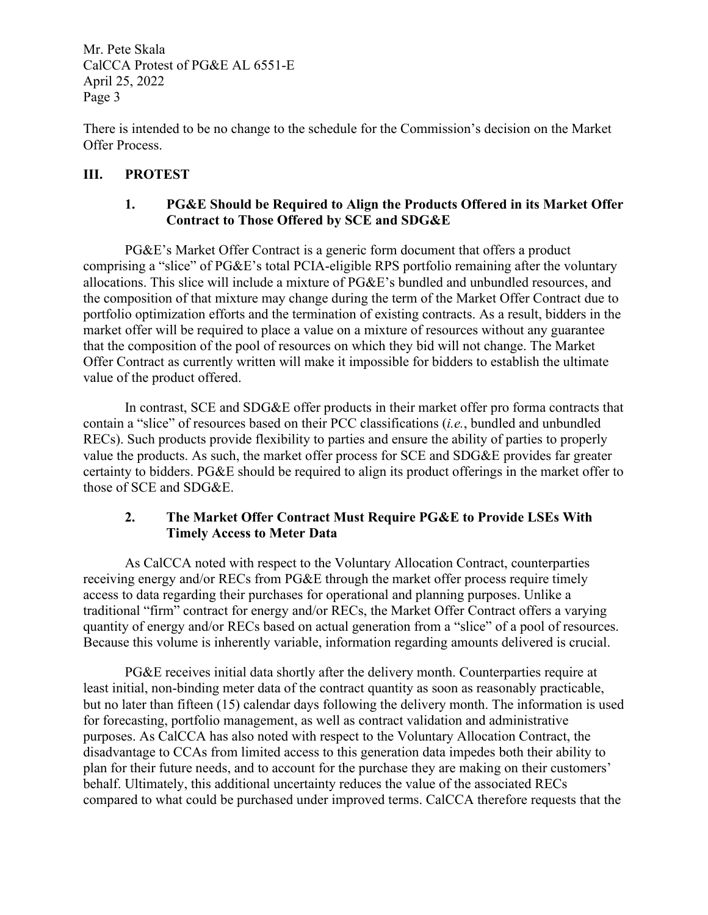Mr. Pete Skala CalCCA Protest of PG&E AL 6551-E April 25, 2022 Page 3

There is intended to be no change to the schedule for the Commission's decision on the Market Offer Process.

## **III. PROTEST**

## **1. PG&E Should be Required to Align the Products Offered in its Market Offer Contract to Those Offered by SCE and SDG&E**

PG&E's Market Offer Contract is a generic form document that offers a product comprising a "slice" of PG&E's total PCIA-eligible RPS portfolio remaining after the voluntary allocations. This slice will include a mixture of PG&E's bundled and unbundled resources, and the composition of that mixture may change during the term of the Market Offer Contract due to portfolio optimization efforts and the termination of existing contracts. As a result, bidders in the market offer will be required to place a value on a mixture of resources without any guarantee that the composition of the pool of resources on which they bid will not change. The Market Offer Contract as currently written will make it impossible for bidders to establish the ultimate value of the product offered.

In contrast, SCE and SDG&E offer products in their market offer pro forma contracts that contain a "slice" of resources based on their PCC classifications (*i.e.*, bundled and unbundled RECs). Such products provide flexibility to parties and ensure the ability of parties to properly value the products. As such, the market offer process for SCE and SDG&E provides far greater certainty to bidders. PG&E should be required to align its product offerings in the market offer to those of SCE and SDG&E.

#### **2. The Market Offer Contract Must Require PG&E to Provide LSEs With Timely Access to Meter Data**

As CalCCA noted with respect to the Voluntary Allocation Contract, counterparties receiving energy and/or RECs from PG&E through the market offer process require timely access to data regarding their purchases for operational and planning purposes. Unlike a traditional "firm" contract for energy and/or RECs, the Market Offer Contract offers a varying quantity of energy and/or RECs based on actual generation from a "slice" of a pool of resources. Because this volume is inherently variable, information regarding amounts delivered is crucial.

PG&E receives initial data shortly after the delivery month. Counterparties require at least initial, non-binding meter data of the contract quantity as soon as reasonably practicable, but no later than fifteen (15) calendar days following the delivery month. The information is used for forecasting, portfolio management, as well as contract validation and administrative purposes. As CalCCA has also noted with respect to the Voluntary Allocation Contract, the disadvantage to CCAs from limited access to this generation data impedes both their ability to plan for their future needs, and to account for the purchase they are making on their customers' behalf. Ultimately, this additional uncertainty reduces the value of the associated RECs compared to what could be purchased under improved terms. CalCCA therefore requests that the